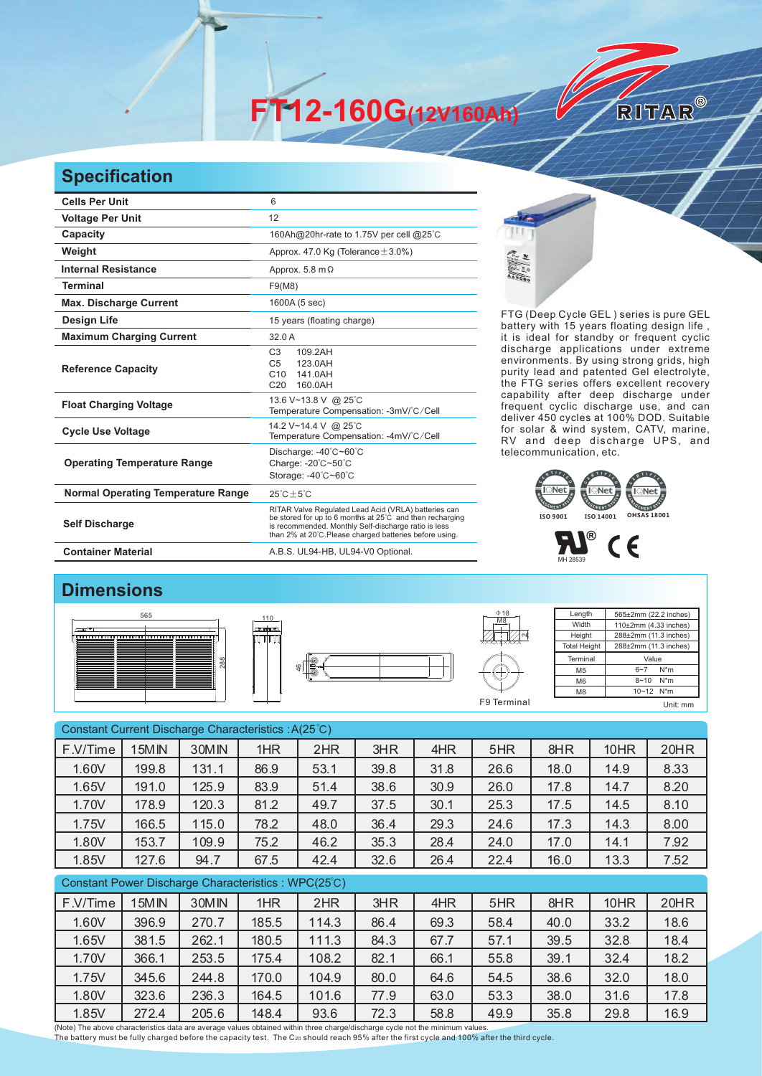**FT12-160G(12V160Ah)** 

## **Specification**

| <b>Cells Per Unit</b>                     | 6                                                                                                                                                                                                                                  |  |  |  |  |
|-------------------------------------------|------------------------------------------------------------------------------------------------------------------------------------------------------------------------------------------------------------------------------------|--|--|--|--|
| <b>Voltage Per Unit</b>                   | 12                                                                                                                                                                                                                                 |  |  |  |  |
| Capacity                                  | 160Ah@20hr-rate to 1.75V per cell @25°C                                                                                                                                                                                            |  |  |  |  |
| Weight                                    | Approx. 47.0 Kg (Tolerance $\pm$ 3.0%)                                                                                                                                                                                             |  |  |  |  |
| <b>Internal Resistance</b>                | Approx. 5.8 m $\Omega$                                                                                                                                                                                                             |  |  |  |  |
| <b>Terminal</b>                           | F9(M8)                                                                                                                                                                                                                             |  |  |  |  |
| <b>Max. Discharge Current</b>             | 1600A (5 sec)                                                                                                                                                                                                                      |  |  |  |  |
| <b>Design Life</b>                        | 15 years (floating charge)                                                                                                                                                                                                         |  |  |  |  |
| <b>Maximum Charging Current</b>           | 32.0 A                                                                                                                                                                                                                             |  |  |  |  |
| <b>Reference Capacity</b>                 | C <sub>3</sub><br>109.2AH<br>C <sub>5</sub><br>123 0AH<br>C10<br>141.0AH<br>C <sub>20</sub><br>160.0AH                                                                                                                             |  |  |  |  |
| <b>Float Charging Voltage</b>             | 13.6 V~13.8 V @ 25°C<br>Temperature Compensation: -3mV/°C/Cell                                                                                                                                                                     |  |  |  |  |
| <b>Cycle Use Voltage</b>                  | 14.2 V~14.4 V @ 25°C<br>Temperature Compensation: -4mV/°C/Cell                                                                                                                                                                     |  |  |  |  |
| <b>Operating Temperature Range</b>        | Discharge: -40°C~60°C<br>Charge: -20°C~50°C<br>Storage: -40°C~60°C                                                                                                                                                                 |  |  |  |  |
| <b>Normal Operating Temperature Range</b> | $25^{\circ}$ C + 5 $^{\circ}$ C                                                                                                                                                                                                    |  |  |  |  |
| <b>Self Discharge</b>                     | RITAR Valve Regulated Lead Acid (VRLA) batteries can<br>be stored for up to 6 months at 25°C and then recharging<br>is recommended. Monthly Self-discharge ratio is less<br>than 2% at 20°C.Please charged batteries before using. |  |  |  |  |
| <b>Container Material</b>                 | A.B.S. UL94-HB, UL94-V0 Optional.                                                                                                                                                                                                  |  |  |  |  |



FTG (Deep Cycle GEL) series is pure GEL battery with 15 years floating design life, it is ideal for standby or frequent cyclic discharge applications under extreme environments. By using strong grids, high purity lead and patented Gel electrolyte, the FTG series offers excellent recovery capability after deep discharge under frequent cyclic discharge use, and can deliver 450 cycles at 100% DOD. Suitable for solar & wind system, CATV, marine, RV and deep discharge UPS, and telecommunication, etc.

RITAR®





## **Dimensions**







**Length** Width **Height** Total Heigh 565±2mm (22.2 inches) 110±2mm (4.33 inches) 288±2mm (11.3 inches) 288±2mm (11.3 inches) Terminal M5 M6 M8 Value 6~7 N\*m 8~10 N\*m 10~12 N\*m F9 Terminal Unit: mm

| Constant Current Discharge Characteristics: A(25°C) |       |       |       |       |      |      |      |      |      |      |  |
|-----------------------------------------------------|-------|-------|-------|-------|------|------|------|------|------|------|--|
| F.V/Time                                            | 15MIN | 30MIN | 1HR   | 2HR   | 3HR  | 4HR  | 5HR  | 8HR  | 10HR | 20HR |  |
| 1.60V                                               | 199.8 | 131.1 | 86.9  | 53.1  | 39.8 | 31.8 | 26.6 | 18.0 | 14.9 | 8.33 |  |
| 1.65V                                               | 191.0 | 125.9 | 83.9  | 51.4  | 38.6 | 30.9 | 26.0 | 17.8 | 14.7 | 8.20 |  |
| 1.70V                                               | 178.9 | 120.3 | 81.2  | 49.7  | 37.5 | 30.1 | 25.3 | 17.5 | 14.5 | 8.10 |  |
| 1.75V                                               | 166.5 | 115.0 | 78.2  | 48.0  | 36.4 | 29.3 | 24.6 | 17.3 | 14.3 | 8.00 |  |
| 1.80V                                               | 153.7 | 109.9 | 75.2  | 46.2  | 35.3 | 28.4 | 24.0 | 17.0 | 14.1 | 7.92 |  |
| 1.85V                                               | 127.6 | 94.7  | 67.5  | 42.4  | 32.6 | 26.4 | 22.4 | 16.0 | 13.3 | 7.52 |  |
| Constant Power Discharge Characteristics: WPC(25°C) |       |       |       |       |      |      |      |      |      |      |  |
| F.V/Time                                            | 15MIN | 30MIN | 1HR   | 2HR   | 3HR  | 4HR  | 5HR  | 8HR  | 10HR | 20HR |  |
| 1.60V                                               | 396.9 | 270.7 | 185.5 | 114.3 | 86.4 | 69.3 | 58.4 | 40.0 | 33.2 | 18.6 |  |
| 1.65V                                               | 381.5 | 262.1 | 180.5 | 111.3 | 84.3 | 67.7 | 57.1 | 39.5 | 32.8 | 18.4 |  |
| 1.70V                                               | 366.1 | 253.5 | 175.4 | 108.2 | 82.1 | 66.1 | 55.8 | 39.1 | 32.4 | 18.2 |  |
| 1.75V                                               | 345.6 | 244.8 | 170.0 | 104.9 | 80.0 | 64.6 | 54.5 | 38.6 | 32.0 | 18.0 |  |
| 1.80V                                               | 323.6 | 236.3 | 164.5 | 101.6 | 77.9 | 63.0 | 53.3 | 38.0 | 31.6 | 17.8 |  |
| 1.85V                                               | 272.4 | 205.6 | 148.4 | 93.6  | 72.3 | 58.8 | 49.9 | 35.8 | 29.8 | 16.9 |  |

(Note) The above characteristics data are average values obtained within three charge/discharge cycle not the minimum values.<br>The battery must be fully charged before the capacity test. The C20 should reach 95% after the